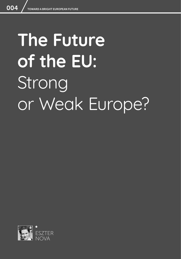# **The Future of the EU: Strong** or Weak Europe?

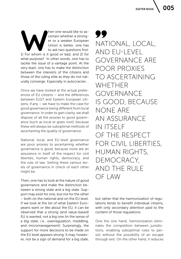ESZTER NOVA  $\setminus$  005

**MADE SERVING THE SERVING SERVING SERVING SERVING SERVING SERVING SERVING SERVING SERVING SERVING SERVING SERVING SERVING SERVING SERVING SERVING SERVING SERVING SERVING SERVING SERVING SERVING SERVING SERVING SERVING SERV** certain whether a stronger or a weaker European Union is better, one has to ask two questions first: what purpose? In other words, one has to tackle the issue of a vantage point. At the very least, one has to make the distinction between the interests of the citizens and those of the ruling elite as they do not naturally converge. Especially in autocracies.

Once we have looked at the actual preferences of EU citizens – and the differences between EU27 and Eastern European citizens, if any – we have to make the case for good governance being different from local governance. In order to gain clarity, we shall dispose of all the proxies to good governance (such as local or grass root), because these will always be suboptimal methods of ascertaining the quality of governance.

National, local, and EU-level governance are poor proxies to ascertaining whether governance is good, because none are an assurance in itself of the respect for civil liberties, human rights, democracy, and the rule of law. Setting these various levels of governance in check of each other might be.

Then, one has to look at the nature of good governance and make the distinction between a strong state and a big state. Support may exist for one, but not for the other – both on the national and on the EU level. If we look at the list of what Eastern Europeans want or like about the EU, it can be observed that a strong (and value-based) EU is wanted, not a big one (in the sense of *a big state,* i.e., overregulation, meddling, and micromanagement). Surprisingly, the support for more decisions to be made on the EU level appears strong. It may, however, not be a sign of demand for a big state, 77 NATIONAL, LOCAL, AND EU-LEVEL GOVERNANCE ARE POOR PROXIES TO ASCERTAINING WHETHER GOVERNANCE IS GOOD, BECAUSE NONE ARE AN ASSURANCE IN ITSELF OF THE RESPECT FOR CIVIL LIBERTIES, HUMAN RIGHTS, DEMOCRACY, AND THE RULE OF LAW

but rather that the harmonization of regulations tends to benefit individual citizens, with only secondary attention paid to the content of those regulations.

One the one hand, harmonization eliminates the competition between jurisdictions, enabling suboptimal rules to persist without the possibility of an escape through exit. On the other hand, it reduces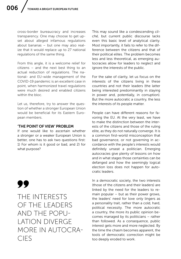cross-border bureaucracy and increases transparency. One may choose to get upset about alleged infamous regulations about bananas – but one may also realize that it would replace up to 27 national regulations of the same thing.

From this angle, it is a welcome relief for citizens – and the next best thing to an actual reduction of regulations. The national- and EU-wide management of the COVID-19 pandemic is an excellent case in point, when harmonized travel regulations were much desired and enabled citizens within the bloc.

Let us, therefore, try to answer the question of whether a stronger European Union would be beneficial for its Eastern European members.

#### 'THE POINT OF VIEW' PROBLEM

If one would like to ascertain whether a stronger or a weaker European Union is better, one has to ask two questions first: 1) For whom is it good or bad, and 2) for what purpose?

99

THE INTERESTS OF THE LEADERS AND THE POPU-LATION DIVERGE MORE IN AUTOCRA-CIES

This may sound like a condescending *cliché,* but current public discourse lacks even this basic level of analytical clarity. Most importantly, it fails to refer to the difference between the citizens and that of their political elites. The problem becomes less and less theoretical, as emerging autocracies allow for leaders to neglect and ignore the interests of the public.

For the sake of clarity, let us focus on the interests of the citizens living in these countries and not their leaders (the latter being interested predominantly in staying in power and, potentially, in corruption). But the more autocratic a country, the less the interests of its people matter.

People can have different reasons for favoring the EU. At the very least, we have to make the distinction between the interests of the citizens and those of the ruling elite, as they do not naturally converge. It is a common first-world misconception that bad governance, or not governing in accordance with the people's interests would definitely unseat a politician. Emerging autocracies give plenty of lessons on how and in what stages those certainties can be defanged and how the seemingly logical election loss does not happen for autocratic leaders.

In a democratic society, the two interests (those of the citizens and their leaders) are linked by the need for the leaders to remain popular – but as their power grows, the leaders' need for love only lingers as a personality trait, rather than a cold, hard, political necessity. The more autocratic a country, the more its public opinion becomes managed by its politicians – rather than followed. As a consequence, public interest gets more and more neglected. By the time the chasm becomes apparent, the tools of democratic correction might be too deeply eroded to work.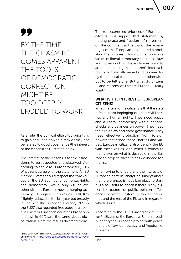# 99

BY THE TIME THE CHASM BE-COMES APPARENT, THE TOOLS OF DEMOCRATIC CORRECTION MIGHT BE TOO DEEPLY ERODED TO WORK

As a rule, the political elite's top priority is to gain and keep power. It may or may not be related to good governance (the interest of the citizens) as illustrated below.

The interest of the citizens is for their freedoms to be respected and observed. According to the 2021 Eurobarometer $1$ , 91% of citizens agree with the statement 'All EU Member States should respect the core values of the EU, such as fundamental rights and democracy', while only 7% believe otherwise. In Europe's new, emerging autocracy – Hungary – this value is 89%/10% (slightly reduced in the last year but broadly in line with the European average). 78% in the EU27 also regarded free trade as a positive (Eastern European countries broadly in line), while 60% said the same about globalization. Here the results diverged more.

The top-expressed priorities of European citizens thus support that statement by putting peace and freedom of movement on the continent at the top of the advantages of the European project and associating the European Union primarily with its values of liberal democracy, the rule of law, and human rights. These choices point to an understanding that a citizen's interest is not to be materially served and be cared for by the political elite (national or otherwise) but to be left alone. But what do citizens – and citizens of Eastern Europe – really want?

### WHAT IS THE INTEREST OF EUROPEAN CITIZENS?

What matters to the citizens is that the state refrains from impinging on their civil liberties and human rights. They need peace and a liberal democracy with functional checks and balances on power. They need the rule of law and good governance. They need effective protection from foreign powers that erode these liberties and values. European citizens also identify the EU with these values. And when it comes to their views on what is desirable in the European project, these things do indeed top the list.

When trying to understand the interests of European citizens, analyzing surveys about their preferences is not a bad place to start. It is also useful to check if there is any discernible pattern of public opinion differences between Eastern European countries and the rest of the EU and in regard to which issues.

According to the 2021 Eurobarometer survey<sup>2</sup>, citizens of the European Union broadly identify the European project with peace, the rule of law, democracy, and freedom of movement.

<sup>1</sup> European Commission (2021) *Eurobarometer 95.* Available [online]: [https://europa.eu/eurobarometer/surveys/](https://europa.eu/eurobarometer/surveys/detail/2532) [detail/2532](https://europa.eu/eurobarometer/surveys/detail/2532)

<sup>2</sup> Ibid.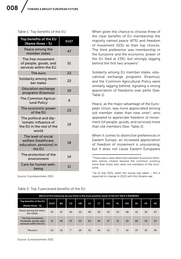Table 1: Top benefits of the EU

| Top benefits of the EU<br>(Name three - %)                                           | <b>EU27</b> |
|--------------------------------------------------------------------------------------|-------------|
| Peace among the<br>member states                                                     | 47          |
| The free movement<br>of people, goods, and<br>services within the EU                 | 51          |
| The euro                                                                             | 23          |
| Solidarity among mem-<br>ber states                                                  | 22          |
| <b>Education exchange</b><br>programs (Erasmus)                                      | 19          |
| The Common Agricul-<br>tural Policy                                                  | 9           |
| The economic power<br>of the EU                                                      | 23          |
| The political and dip-<br>lomatic influence of<br>the EU in the rest of the<br>world | 19          |
| The level of social<br>welfare (healthcare,<br>education, pensions) in<br>the EU     | 18          |
| The protection of the<br>environment                                                 | 14          |
| Care for human well-<br>being                                                        | 11          |

Source: Eurobarometer 2021

When given the chance to choose three of the clear benefits of EU membership the majority named peace (47%) and freedom of movement (51%) as their top choices. The third preference was membership in the Eurozone and the economic power of the EU (tied at 23%), but strongly lagging behind the first two answers<sup>3</sup>.

Solidarity among EU member states, educational exchange programs (Erasmus), and the Common Agricultural Policy were similarly lagging behind, signaling a strong appreciation of freedoms over perks [See: Table 1].

Peace, as the major advantage of the European Union, was more appreciated among old member states than new ones<sup>4</sup>, who appeared to appreciate freedom of movement (of people, goods, and services) more than old members [See: Table 2].

When it comes to distinctive preferences in Eastern Europe, an increased appreciation of freedom of movement is unsurprising, but it does not cause Eastern Europeans

4 As of July 2021, when the survey was taken – this is expected to change in 2022 with the Ukraine war.

| Which of the following do you think is the most positive result of the EU? MAX 3 ANSWERS |             |    |                |           |    |    |    |                |    |           |           |    |
|------------------------------------------------------------------------------------------|-------------|----|----------------|-----------|----|----|----|----------------|----|-----------|-----------|----|
| Top benefits of the EU<br>(Name three - %)                                               | <b>EU27</b> | ВG | <b>CZ</b>      | <b>HR</b> | LV | LT | HU | <b>PL</b>      | RO | <b>SK</b> | <b>FR</b> | DE |
| Peace among the mem-<br>ber states                                                       | 47          | 37 | 50             | 41        | 40 | 36 | 33 | 35             | 28 | 41        | 55        | 67 |
| The free movement<br>of people, goods, and<br>services within the EU                     | 51          | 66 | 67             | 63        | 62 | 60 | 57 | 51             | 43 | 66        | 40        | 54 |
| The euro                                                                                 | 23          | 12 | $\overline{7}$ | 10        | 32 | 24 | 12 | $\overline{7}$ | 14 | 37        | 31        | 29 |

### Table 2: Top 3 perceived benefits of the EU

Source: Eurobarometer 2021

<sup>&</sup>lt;sup>3</sup> There was a clear distinction between Eurozone members whose citizens favored the common currency more than those who were not members of the Eurozone.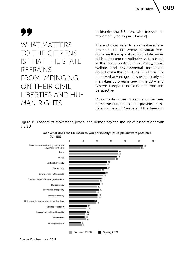**ESZTER NOVA** 

# 99

### WHAT MATTERS TO THE CITIZENS IS THAT THE STATE REFRAINS FROM IMPINGING ON THEIR CIVIL LIBERTIES AND HU-MAN RIGHTS

to identify the EU more with freedom of movement [See: Figures 1 and 2].

These choices refer to a value-based approach to the EU, where individual freedoms are the major attraction, while material benefits and redistributive values (such as the Common Agricultural Policy, social welfare, and environmental protection) do not make the top of the list of the EU's perceived advantages. It speaks clearly of the values Europeans seek in the EU – and Eastern Europe is not different from this perspective.

On domestic issues, citizens favor the freedoms the European Union provides, consistently marking 'peace and the freedom

Figure 1: Freedom of movement, peace, and democracy top the list of associations with the EU



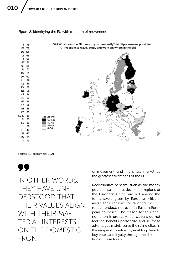Figure 2: Identifying the EU with freedom of movement



Source: Eurobarometer 2021



IN OTHER WORDS, THEY HAVE UN-DERSTOOD THAT THEIR VALUES ALIGN WITH THEIR MA-TERIAL INTERESTS ON THE DOMESTIC FRONT

of movement' and 'the single market' as the greatest advantages of the EU.

Redistributive benefits, such as the money poured into the less developed regions of the European Union, are not among the top answers given by European citizens about their reasons for favoring the European project, not even in Eastern European countries. The reason for this phenomenon is probably that citizens do not feel the benefits personally, and so these advantages mainly serve the ruling elites in the recipient countries by enabling them to buy votes and loyalty through the distribution of these funds.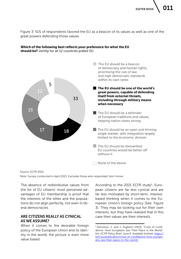**ESZTER NOV** 

Figure 3: 51% of respondents favored the EU as a beacon of its values as well as one of the great powers defending those values



#### Which of the following best reflects your preference for what the EU should be? Jointly for all 12 countries polled (%)

Source: ECFR 2021 Note: Survey conducted in April 2021. Excludes those who responded 'don't know.'

The absence of redistributive values from the list of EU citizens' most perceived advantages of EU membership is proof that the interests of the elites and the populations do not align perfectly, not even in liberal democracies.

### ARE CITIZENS REALLY AS CYNICAL AS WE ASSUME?

When it comes to the desirable foreign policy of the European Union and its identity in the world, the picture is even more value based.

According to the 2021 ECFR study<sup>5</sup>, European citizens are far less cynical and are far less motivated by short-term, interestbased thinking when it comes to the European Union's foreign policy [See: Figure 3]. They may be looking out for their own interests, but they have realized that in this case their values *are* their interests.

<sup>5</sup> Dennison, S. and J. Puglierin (2021) "Crisis of Confidence: How Europeans See Their Place in the World", [in]: *ECFR Policy Brief*, June 9. Available [online]: [https://](https://ecfr.eu/publication/crisis-of-confidence-how-europeans-see-their-place-in-the-world/ ) [ecfr.eu/publication/crisis-of-confidence-how-europe](https://ecfr.eu/publication/crisis-of-confidence-how-europeans-see-their-place-in-the-world/ )[ans-see-their-place-in-the-world/](https://ecfr.eu/publication/crisis-of-confidence-how-europeans-see-their-place-in-the-world/ )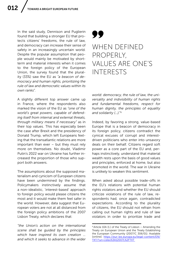In the said study, Dennison and Puglierin found that building a stronger EU that protects citizens' freedoms, the rule of law, and democracy can increase their sense of safety in an increasingly uncertain world. Despite the popular assumption that people would mainly be motivated by shortterm and material interests when it comes to the foreign policy of the European Union, the survey found that the plurality (33%) saw the EU as *"a beacon of democracy and human rights, prioritizing the rule of law and democratic values within its own ranks".* 

A slightly different top answer came up in France, where the respondents also marked the vision of the EU as *"one of the world's great powers, capable of defending itself from internal and external threats, through military means if necessary"* as in their top values. This has especially been the case after Brexit and the presidency of Donald Trump, which left Europeans feeling that the transatlantic relations are more important than ever – but they must rely more on themselves. No doubt, Vladimir Putin's 2022 war on Ukraine has further increased the proportion of those who support both answers.

The assumptions about the supposed materialism and cynicism of European citizens have been undermined by the findings. Policymakers instinctively assume that a non-idealistic, 'interest-based' approach to foreign policy would please citizens the most and it would make them feel safer in the world. However, data suggest that European voters are not at all distanced from the foreign policy ambitions of the 2007 Lisbon Treaty, which declares that:

*"the Union's action on the international scene shall be guided by the principles which have inspired its own creation … and which it seeks to advance in the wider* 

# 77

### WHEN DEFINED PROPERLY, VALUES ARE ONE'S INTERESTS

*world: democracy, the rule of law, the universality and indivisibility of human rights and fundamental freedoms, respect for human dignity, the principles of equality and solidarity (...).*" 6

Indeed, by favoring a strong, value-based Europe that is a beacon of democracy in its foreign policy, citizens contradict the cynical excuses of corrupt and interestdriven politicians who enter into unsavory deals on their behalf. Citizens regard soft power as a core part of the EU and, perhaps instinctively, understand that material wealth rests upon the basis of good values and principles, enforced at home, but also promoted in the world. The war in Ukraine is unlikely to weaken this sentiment.

When asked about possible trade-offs in the EU's relations with potential human rights violators and whether the EU should criticize violations of the rule of law, respondents had, once again, contradicted expectations. According to the plurality of citizens, the EU should not refrain from calling out human rights and rule of law violators in order to prioritize trade and

 $6$  Article 10A (1.) of the Treaty of Lisbon – Amending the Treaty on European Union and the Treaty Establishing the European Community (2007/C 306/01). Available [online]: [https://eur-lex.europa.eu/legal-content/EN/](https://eur-lex.europa.eu/legal-content/EN/TXT/?uri=celex%3A12007L%2FTXT ) [TXT/?uri=celex%3A12007L%2FTXT](https://eur-lex.europa.eu/legal-content/EN/TXT/?uri=celex%3A12007L%2FTXT )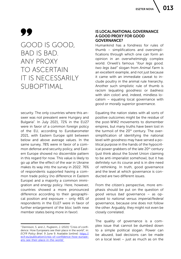# 99

### GOOD IS GOOD, BAD IS BAD. ANY PROXY TO ASCERTAIN IT IS NECESSARILY SUBOPTIMAL

security. The only countries where this answer was not prevalent were Hungary and Bulgaria<sup>7</sup>. In July 2021, 72% in the EU27 were in favor of a common foreign policy of the EU, according to Eurobarometer 2021, with Eastern Europe split between below and above average values. In the same survey, 78% were in favor of a common defense and security policy, and Eastern Europe showed no discernible pattern in this regard for now. This value is likely to go up after the effect of the war in Ukraine makes its way into the survey in 2022. 76% of respondents supported having a common trade policy (no difference in Eastern Europe) and a majority a common immigration and energy policy. Here, however, countries showed a more pronounced difference according to their geographical position and exposure – only 46% of respondents in the EU27 were in favor of further enlargement of the bloc (with new member states being more in favor).

### IS LOCAL/NATIONAL GOVERNANCE A GOOD PROXY FOR GOOD GOVERNANCE?

Humankind has a fondness for rules of thumb – simplifications and oversimplifications through which one can form an opinion in an overwhelmingly complex world. Orwell's famous *"four legs good, two legs bad"* slogan from *Animal Farm* is an excellent example, and not just because it came with an immediate caveat to include poultry in the animal rule hierarchy. Another such simplistic rule of thumb is racism (equating *goodness* or *badness* with skin color) and, indeed, mindless localism – equating local governance with *good* or *morally superior* governance.

Equating the nation states with all sorts of positive outcomes might be the residue of the post-WW2 movements to dismember empires, but many truths have been lost in the turmoil of the 20<sup>th</sup> century. The oversimplification of identifying the national level with *goodness* may have served a political purpose in the hands of the hypocritical power grabbers of the late 20<sup>th</sup> century (just think about the Soviet Union claiming to be anti-imperialist somehow), but it has definitely run its course and is in dire need of rethinking. In truth, good governance and the level at which governance is conducted are two different issues.

From the citizen's perspective, more emphasis should be put on the question of *good* versus *bad* governance – as opposed to *national* versus *imperial/federal* governance, because one does not follow the other. Arguably, they might not even be closely correlated.

The quality of governance is a complex issue that cannot be dumbed down to a simple political slogan. Power can be abused, bad decisions can be made on a local level – just as much as on the

<sup>7</sup> Dennison, S. and J., Puglierin, J. (2021) "Crisis of confidence: How Europeans see their place in the world", in: *ECFR Policy Brief*, 9 June 9. Available [online]: [https://](https://ecfr.eu/publication/crisis-of-confidence-how-europeans-see-their-place-in-the-world/ ) [ecfr.eu/publication/crisis-of-confidence-how-europe](https://ecfr.eu/publication/crisis-of-confidence-how-europeans-see-their-place-in-the-world/ )[ans-see-their-place-in-the-world/](https://ecfr.eu/publication/crisis-of-confidence-how-europeans-see-their-place-in-the-world/ )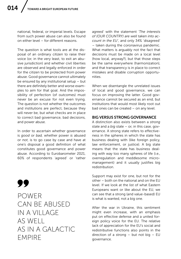national, federal, or imperial levels. Escape from such power abuse can also be found on either level – for different reasons.

The question is what tools are at the disposal of an ordinary citizen to raise their voice (or, in the very least, to exit an abusive jurisdiction) and whether civil liberties are observed and legally enforced in order for the citizen to be protected from power abuse. Good governance cannot ultimately be ensured by any institutional setup – but there are definitely better and worse examples to aim for that goal. And the impossibility of perfection (of outcomes) must never be an excuse for not even trying. The question is not whether the outcomes and institutions are perfect, because they will never be, but what checks are in place to correct bad governance, bad decisions, and power abuse.

In order to ascertain whether governance is *good* or *bad,* whether power *is* abused or *not*, is to go case by case and have at one's disposal a good definition of what constitutes good governance and power abuse. According to Eurobarometer 2021, 60% of respondents 'agreed' or 'rather

### 99

POWER CAN BE ABUSED IN A VILLAGE AS WELL AS IN A GALACTIC EMPIRE

agreed' with the statement *'The interests of (OUR COUNTRY) are well taken into account in the EU',* and only 34% 'disagreed' – taken during the coronavirus pandemic. What matters is arguably not the fact that decisions must be made on a local level (how local, anyway?), but that those steps be the same everywhere (harmonization), and that transparency is in place to correct mistakes and disable corruption opportunities.

When we disentangle the unrelated issues of local and good governance, we can focus on improving the latter. Good governance cannot be secured as an end, but institutions that would most likely root out bad ones can be created – on any level.

#### BIG VERSUS STRONG GOVERNANCE

A distinction also exists between a *strong* state and a *big* state – or, in this case, governance. A strong state refers to effectiveness in the spheres in which the state has business dealing with (like foreign policy, law enforcement, or justice). A big state means that the state has business dealing with way too many spheres of life (i.e., overregulation and meddlesome micromanagement) and it usually justifies big redistribution.

Support may exist for one, but not for the other – both on the national and on the EU level. If we look at the list of what Eastern Europeans want or like about the EU, we can see that a strong (and value-based) EU is what is wanted, not a big one.

After the war in Ukraine, this sentiment might even increase, with an emphasis put on effective defense and a united foreign policy voice for the EU. The relative lack of appreciation for the EU's social and redistributive functions also points in the direction of a strong – but not big – EU governance.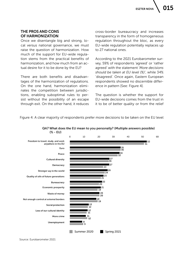### THE PROS AND CONS OF HARMONIZATION

Once we disentangle big and strong, local versus national governance, we must raise the question of harmonization. How much of the support for EU-wide regulation stems from the practical benefits of harmonization, and how much from an actual desire for it to be done by the EU?

There are both benefits and disadvantages of the harmonization of regulations. On the one hand, harmonization eliminates the competition between jurisdictions, enabling suboptimal rules to persist without the possibility of an escape through exit. On the other hand, it reduces cross-border bureaucracy and increases transparency in the form of homogeneous regulation throughout the bloc, as every EU-wide regulation potentially replaces up to 27 national ones.

According to the 2021 Eurobarometer survey, 59% of respondents 'agreed' or 'rather agreed' with the statement '*More decisions should be taken at EU level (%)'*, while 34% 'disagreed'. Once again, Eastern European respondents showed no discernible difference in pattern [See: Figure 4].

The question is whether the support for EU-wide decisions comes from the trust in it to be of better quality or from the relief

Figure 4: A clear majority of respondents prefer more decisions to be taken on the EU level



QA7 What does the EU mean to you personally? (Multiple answers possible)  $(X - EU)$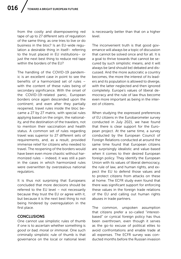from the costly and disempowering red tape of up to 27 different sets of regulation of the same thing, as one tries to live or do business in the bloc? Is an EU-wide regulation a desirable thing in itself– referring to the trust placed in EU institutions– or just the next best thing to reduce red tape within the borders of the EU?

The handling of the COVID-19 pandemic is an excellent case in point to see the benefits of a harmonized set of rules – with the content of these rules being of secondary significance. With the onset of the COVID-19-related panic, European borders once again descended upon the continent; and even after they partially reopened, travel rules inside the bloc became a 27 by 27 matrix, with special rules applying based on the origin, the nationality, and the destination of the travelers, not to mention their vaccination and health status. A common set of rules regarding travel was superior to 27 different sets of requirements, and, as a result, provided immense relief for citizens who needed to travel. The reopening of the borders would have been even more chaotic without harmonized rules – indeed, it was still a pain in the cases in which harmonized rules were overwritten by overzealous national regulators.

It is thus not surprising that Europeans concluded that more decisions should be referred to the EU level – not necessarily because they trust the EU or agree with it, but because it is the next best thing to not being hindered by overregulation in the first place.

### **CONCLUSIONS**

One cannot use simplistic rules of thumb if one is to ascertain whether something is *good* or *bad*, *moral* or *immoral*. One such criminally simplistic rule of thumb is that governance on the local or national level

is necessarily better than that on a higher level.

The inconvenient truth is that good governance will always be a topic of discussion that cannot be solved once and for all. It is a goal to thrive towards that cannot be secured by such simplistic means, and it will always be (and should be) debated and discussed. And the more autocratic a country becomes, the more the interest of its leaders and its population is allowed to diverge, with the latter neglected and then ignored completely. Europe's values of liberal democracy and the rule of law thus become even more important as being in the interest of citizens.

When studying the expressed preferences of EU citizens in the Eurobarometer survey conducted in July 2021, we have found that there is clear support for the European project. At the same time, a survey conducted by the European Council of Foreign Relations conducted at around the same time found that European citizens are surprisingly idealistic and value-based when it comes to their desired European foreign policy. They identify the European Union with its values of liberal democracy, the rule of law, and human rights, and expect the EU to defend those values and to protect citizens from attacks on these at home. The ECFR study even found that there was significant support for enforcing these values in the foreign trade relations of the EU and calling out human rights abuses in trade partners.

The common, unspoken assumption that citizens prefer a so-called "interestbased" or cynical foreign policy has thus been overthrown, even though it serves as the go-to excuse of political elites to avoid confrontations and enable trade at all expenses. The ECFR survey was conducted months before the Russian invasion